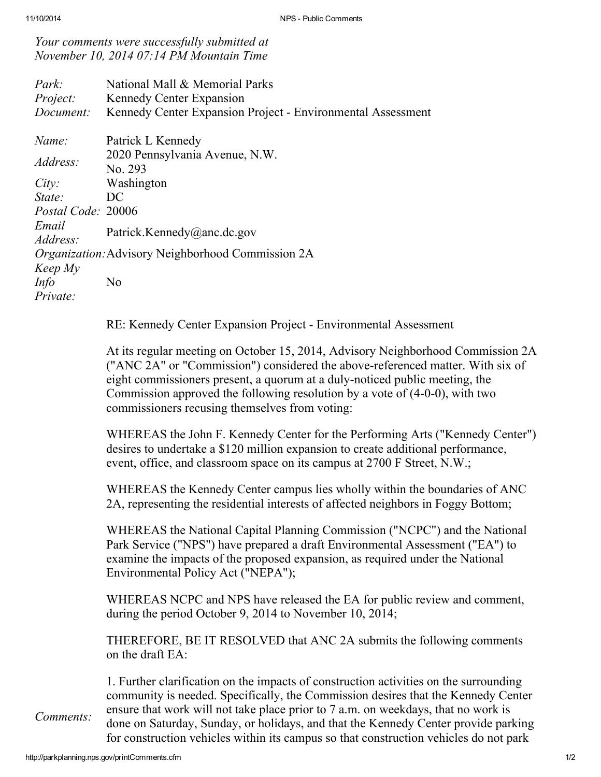Your comments were successfully submitted at November 10, 2014 07:14 PM Mountain Time

| Park:<br>Project:<br>Document:                                                                                        | National Mall & Memorial Parks<br><b>Kennedy Center Expansion</b><br>Kennedy Center Expansion Project - Environmental Assessment                                                               |
|-----------------------------------------------------------------------------------------------------------------------|------------------------------------------------------------------------------------------------------------------------------------------------------------------------------------------------|
| Name:<br>Address:<br>City:<br>State:<br>Postal Code: 20006<br>Email<br>Address:<br>Keep My<br><i>Info</i><br>Private: | Patrick L Kennedy<br>2020 Pennsylvania Avenue, N.W.<br>No. 293<br>Washington<br>DC<br>Patrick.Kennedy@anc.dc.gov<br><i>Organization:</i> Advisory Neighborhood Commission 2A<br>N <sub>0</sub> |
|                                                                                                                       |                                                                                                                                                                                                |

RE: Kennedy Center Expansion Project - Environmental Assessment

At its regular meeting on October 15, 2014, Advisory Neighborhood Commission 2A ("ANC 2A" or "Commission") considered the above-referenced matter. With six of eight commissioners present, a quorum at a duly-noticed public meeting, the Commission approved the following resolution by a vote of (4-0-0), with two commissioners recusing themselves from voting:

WHEREAS the John F. Kennedy Center for the Performing Arts ("Kennedy Center") desires to undertake a \$120 million expansion to create additional performance, event, office, and classroom space on its campus at 2700 F Street, N.W.;

WHEREAS the Kennedy Center campus lies wholly within the boundaries of ANC 2A, representing the residential interests of affected neighbors in Foggy Bottom;

WHEREAS the National Capital Planning Commission ("NCPC") and the National Park Service ("NPS") have prepared a draft Environmental Assessment ("EA") to examine the impacts of the proposed expansion, as required under the National Environmental Policy Act ("NEPA");

WHEREAS NCPC and NPS have released the EA for public review and comment, during the period October 9, 2014 to November 10, 2014;

THEREFORE, BE IT RESOLVED that ANC 2A submits the following comments on the draft EA:

1. Further clarification on the impacts of construction activities on the surrounding community is needed. Specifically, the Commission desires that the Kennedy Center ensure that work will not take place prior to 7 a.m. on weekdays, that no work is done on Saturday, Sunday, or holidays, and that the Kennedy Center provide parking for construction vehicles within its campus so that construction vehicles do not park

Comments: